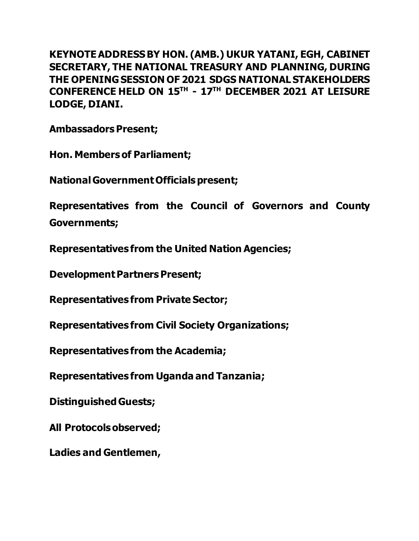**KEYNOTE ADDRESS BY HON. (AMB.) UKUR YATANI, EGH, CABINET SECRETARY, THE NATIONAL TREASURY AND PLANNING, DURING THE OPENING SESSION OF 2021 SDGS NATIONAL STAKEHOLDERS CONFERENCE HELD ON 15TH - 17TH DECEMBER 2021 AT LEISURE LODGE, DIANI.**

**Ambassadors Present;**

**Hon. Members of Parliament;**

**National Government Officials present;**

**Representatives from the Council of Governors and County Governments;**

**Representatives from the United Nation Agencies;**

**Development Partners Present;**

**Representatives from Private Sector;**

**Representatives from Civil Society Organizations;**

**Representatives from the Academia;**

**Representatives from Uganda and Tanzania;**

**Distinguished Guests;**

**All Protocols observed;**

**Ladies and Gentlemen,**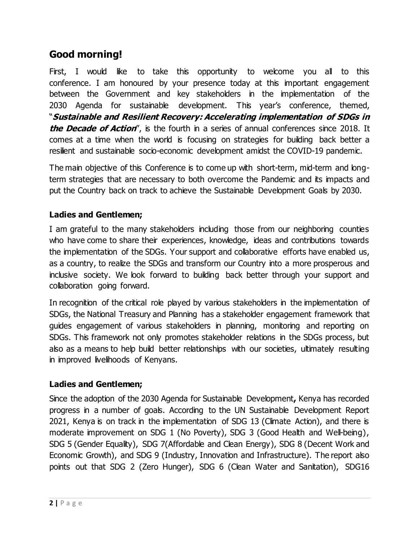# **Good morning!**

First, I would like to take this opportunity to welcome you all to this conference. I am honoured by your presence today at this important engagement between the Government and key stakeholders in the implementation of the 2030 Agenda for sustainable development. This year's conference, themed, "**Sustainable and Resilient Recovery: Accelerating implementation of SDGs in the Decade of Action**", is the fourth in a series of annual conferences since 2018. It comes at a time when the world is focusing on strategies for building back better a resilient and sustainable socio-economic development amidst the COVID-19 pandemic.

The main objective of this Conference is to come up with short-term, mid-term and longterm strategies that are necessary to both overcome the Pandemic and its impacts and put the Country back on track to achieve the Sustainable Development Goals by 2030.

## **Ladies and Gentlemen;**

I am grateful to the many stakeholders including those from our neighboring counties who have come to share their experiences, knowledge, ideas and contributions towards the implementation of the SDGs. Your support and collaborative efforts have enabled us, as a country, to realize the SDGs and transform our Country into a more prosperous and inclusive society. We look forward to building back better through your support and collaboration going forward.

In recognition of the critical role played by various stakeholders in the implementation of SDGs, the National Treasury and Planning has a stakeholder engagement framework that guides engagement of various stakeholders in planning, monitoring and reporting on SDGs. This framework not only promotes stakeholder relations in the SDGs process, but also as a means to help build better relationships with our societies, ultimately resulting in improved livelihoods of Kenyans.

### **Ladies and Gentlemen;**

Since the adoption of the 2030 Agenda for Sustainable Development**,** Kenya has recorded progress in a number of goals. According to the UN Sustainable Development Report 2021, Kenya is on track in the implementation of SDG 13 (Climate Action), and there is moderate improvement on SDG 1 (No Poverty), SDG 3 (Good Health and Well-being), SDG 5 (Gender Equality), SDG 7(Affordable and Clean Energy), SDG 8 (Decent Work and Economic Growth), and SDG 9 (Industry, Innovation and Infrastructure). The report also points out that SDG 2 (Zero Hunger), SDG 6 (Clean Water and Sanitation), SDG16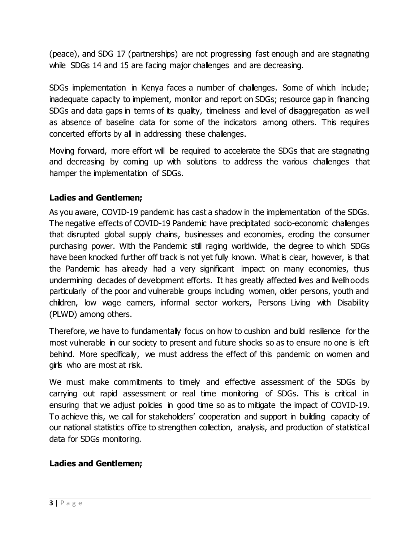(peace), and SDG 17 (partnerships) are not progressing fast enough and are stagnating while SDGs 14 and 15 are facing major challenges and are decreasing.

SDGs implementation in Kenya faces a number of challenges. Some of which include; inadequate capacity to implement, monitor and report on SDGs; resource gap in financing SDGs and data gaps in terms of its quality, timeliness and level of disaggregation as well as absence of baseline data for some of the indicators among others. This requires concerted efforts by all in addressing these challenges.

Moving forward, more effort will be required to accelerate the SDGs that are stagnating and decreasing by coming up with solutions to address the various challenges that hamper the implementation of SDGs.

## **Ladies and Gentlemen;**

As you aware, COVID-19 pandemic has cast a shadow in the implementation of the SDGs. The negative effects of COVID-19 Pandemic have precipitated socio-economic challenges that disrupted global supply chains, businesses and economies, eroding the consumer purchasing power. With the Pandemic still raging worldwide, the degree to which SDGs have been knocked further off track is not yet fully known. What is clear, however, is that the Pandemic has already had a very significant impact on many economies, thus undermining decades of development efforts. It has greatly affected lives and livelihoods particularly of the poor and vulnerable groups including women, older persons, youth and children, low wage earners, informal sector workers, Persons Living with Disability (PLWD) among others.

Therefore, we have to fundamentally focus on how to cushion and build resilience for the most vulnerable in our society to present and future shocks so as to ensure no one is left behind. More specifically, we must address the effect of this pandemic on women and girls who are most at risk.

We must make commitments to timely and effective assessment of the SDGs by carrying out rapid assessment or real time monitoring of SDGs. This is critical in ensuring that we adjust policies in good time so as to mitigate the impact of COVID-19. To achieve this, we call for stakeholders' cooperation and support in building capacity of our national statistics office to strengthen collection, analysis, and production of statistical data for SDGs monitoring.

## **Ladies and Gentlemen;**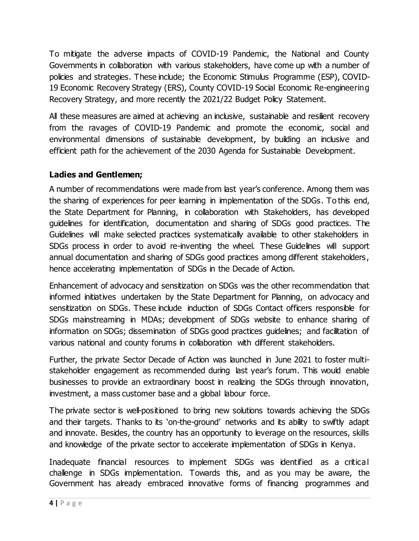To mitigate the adverse impacts of COVID-19 Pandemic, the National and County Governments in collaboration with various stakeholders, have come up with a number of policies and strategies. These include; the Economic Stimulus Programme (ESP), COVID-19 Economic Recovery Strategy (ERS), County COVID-19 Social Economic Re-engineering Recovery Strategy, and more recently the 2021/22 Budget Policy Statement.

All these measures are aimed at achieving an inclusive, sustainable and resilient recovery from the ravages of COVID-19 Pandemic and promote the economic, social and environmental dimensions of sustainable development, by building an inclusive and efficient path for the achievement of the 2030 Agenda for Sustainable Development.

## **Ladies and Gentlemen;**

A number of recommendations were made from last year's conference. Among them was the sharing of experiences for peer learning in implementation of the SDGs. To this end, the State Department for Planning, in collaboration with Stakeholders, has developed guidelines for identification, documentation and sharing of SDGs good practices. The Guidelines will make selected practices systematically available to other stakeholders in SDGs process in order to avoid re-inventing the wheel. These Guidelines will support annual documentation and sharing of SDGs good practices among different stakeholders , hence accelerating implementation of SDGs in the Decade of Action.

Enhancement of advocacy and sensitization on SDGs was the other recommendation that informed initiatives undertaken by the State Department for Planning, on advocacy and sensitization on SDGs. These include induction of SDGs Contact officers responsible for SDGs mainstreaming in MDAs; development of SDGs website to enhance sharing of information on SDGs; dissemination of SDGs good practices guidelines; and facilitation of various national and county forums in collaboration with different stakeholders.

Further, the private Sector Decade of Action was launched in June 2021 to foster multistakeholder engagement as recommended during last year's forum. This would enable businesses to provide an extraordinary boost in realizing the SDGs through innovation, investment, a mass customer base and a global labour force.

The private sector is well-positioned to bring new solutions towards achieving the SDGs and their targets. Thanks to its 'on-the-ground' networks and its ability to swiftly adapt and innovate. Besides, the country has an opportunity to leverage on the resources, skills and knowledge of the private sector to accelerate implementation of SDGs in Kenya.

Inadequate financial resources to implement SDGs was identified as a critical challenge in SDGs implementation. Towards this, and as you may be aware, the Government has already embraced innovative forms of financing programmes and